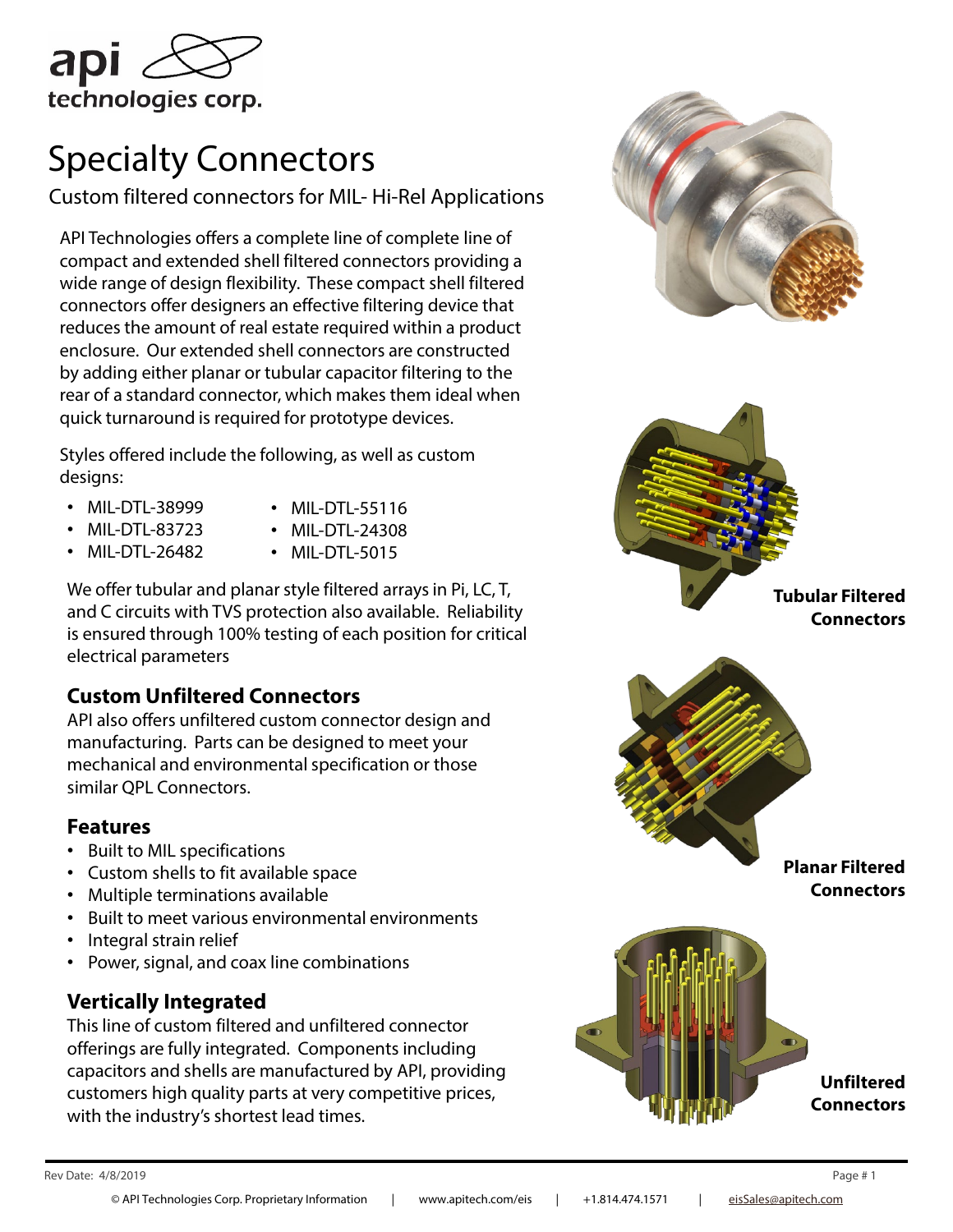

# Specialty Connectors

Custom filtered connectors for MIL- Hi-Rel Applications

API Technologies offers a complete line of complete line of compact and extended shell filtered connectors providing a wide range of design flexibility. These compact shell filtered connectors offer designers an effective filtering device that reduces the amount of real estate required within a product enclosure. Our extended shell connectors are constructed by adding either planar or tubular capacitor filtering to the rear of a standard connector, which makes them ideal when quick turnaround is required for prototype devices.

Styles offered include the following, as well as custom designs:

- MIL-DTL-38999
- MIL-DTL-55116 • MIL-DTL-24308
- MIL-DTL-83723 • MIL-DTL-26482
- MIL-DTL-5015

We offer tubular and planar style filtered arrays in Pi, LC, T, and C circuits with TVS protection also available. Reliability is ensured through 100% testing of each position for critical electrical parameters

### **Custom Unfiltered Connectors**

API also offers unfiltered custom connector design and manufacturing. Parts can be designed to meet your mechanical and environmental specification or those similar QPL Connectors.

#### **Features**

- Built to MIL specifications
- Custom shells to fit available space
- Multiple terminations available
- Built to meet various environmental environments
- Integral strain relief
- Power, signal, and coax line combinations

### **Vertically Integrated**

This line of custom filtered and unfiltered connector offerings are fully integrated. Components including capacitors and shells are manufactured by API, providing customers high quality parts at very competitive prices, with the industry's shortest lead times.